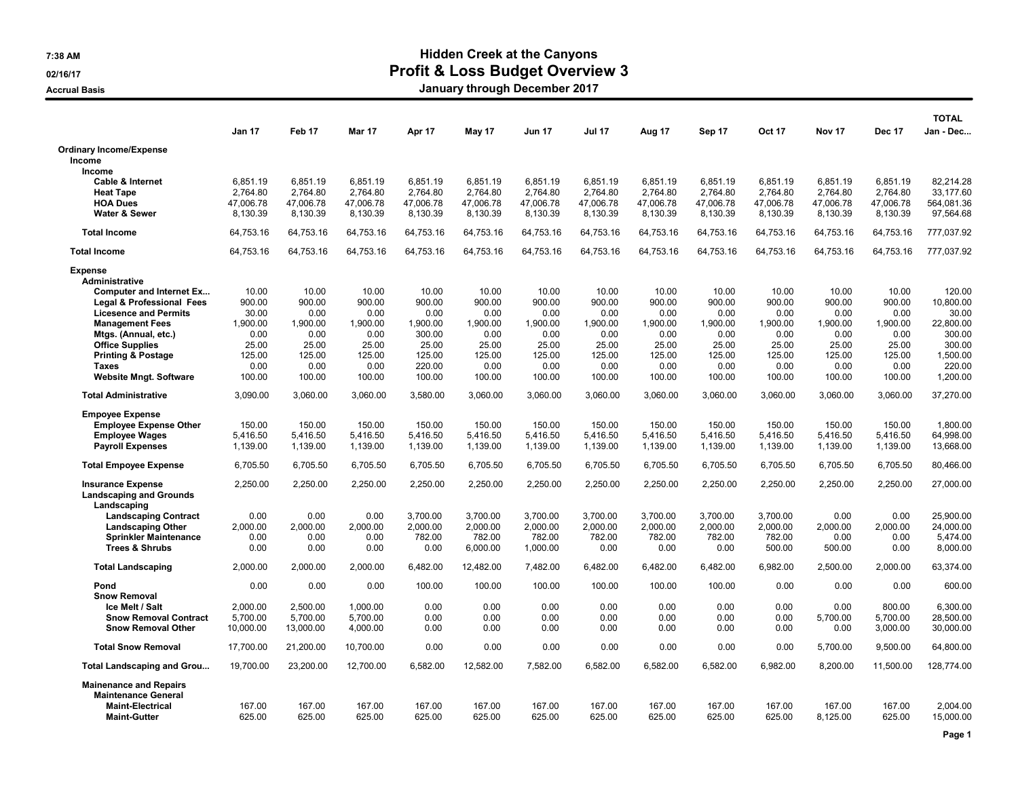## 7:38 AM Hidden Creek at the Canyons 02/16/17 **Profit & Loss Budget Overview 3**

Accrual Basis **Accrual Basis Accrual Basis January through December 2017** 

|                                                            |                 |                |                |                |                |                |                |                |                |                |                |                | <b>TOTAL</b>       |
|------------------------------------------------------------|-----------------|----------------|----------------|----------------|----------------|----------------|----------------|----------------|----------------|----------------|----------------|----------------|--------------------|
|                                                            | Jan 17          | Feb 17         | Mar 17         | Apr 17         | May 17         | Jun 17         | <b>Jul 17</b>  | Aug 17         | Sep 17         | <b>Oct 17</b>  | Nov 17         | Dec 17         | Jan - Dec          |
| <b>Ordinary Income/Expense</b>                             |                 |                |                |                |                |                |                |                |                |                |                |                |                    |
| Income                                                     |                 |                |                |                |                |                |                |                |                |                |                |                |                    |
| Income<br><b>Cable &amp; Internet</b>                      | 6,851.19        | 6.851.19       | 6,851.19       | 6,851.19       | 6,851.19       | 6,851.19       | 6.851.19       | 6,851.19       | 6,851.19       | 6,851.19       | 6,851.19       | 6.851.19       | 82.214.28          |
| <b>Heat Tape</b>                                           | 2,764.80        | 2,764.80       | 2.764.80       | 2,764.80       | 2,764.80       | 2,764.80       | 2.764.80       | 2,764.80       | 2,764.80       | 2.764.80       | 2,764.80       | 2,764.80       | 33.177.60          |
| <b>HOA Dues</b>                                            | 47,006.78       | 47,006.78      | 47,006.78      | 47,006.78      | 47,006.78      | 47,006.78      | 47,006.78      | 47,006.78      | 47,006.78      | 47,006.78      | 47,006.78      | 47,006.78      | 564,081.36         |
| <b>Water &amp; Sewer</b>                                   | 8,130.39        | 8,130.39       | 8,130.39       | 8,130.39       | 8,130.39       | 8,130.39       | 8,130.39       | 8,130.39       | 8,130.39       | 8,130.39       | 8,130.39       | 8,130.39       | 97,564.68          |
| <b>Total Income</b>                                        | 64,753.16       | 64.753.16      | 64,753.16      | 64,753.16      | 64,753.16      | 64,753.16      | 64.753.16      | 64,753.16      | 64,753.16      | 64,753.16      | 64,753.16      | 64,753.16      | 777,037.92         |
| <b>Total Income</b>                                        | 64,753.16       | 64,753.16      | 64,753.16      | 64,753.16      | 64,753.16      | 64,753.16      | 64,753.16      | 64,753.16      | 64,753.16      | 64,753.16      | 64,753.16      | 64,753.16      | 777,037.92         |
| <b>Expense</b>                                             |                 |                |                |                |                |                |                |                |                |                |                |                |                    |
| <b>Administrative</b>                                      |                 |                |                |                |                |                |                |                |                |                |                |                |                    |
| <b>Computer and Internet Ex</b>                            | 10.00           | 10.00          | 10.00          | 10.00          | 10.00          | 10.00          | 10.00          | 10.00          | 10.00          | 10.00          | 10.00          | 10.00          | 120.00             |
| Legal & Professional Fees<br><b>Licesence and Permits</b>  | 900.00<br>30.00 | 900.00<br>0.00 | 900.00<br>0.00 | 900.00<br>0.00 | 900.00<br>0.00 | 900.00<br>0.00 | 900.00<br>0.00 | 900.00<br>0.00 | 900.00<br>0.00 | 900.00<br>0.00 | 900.00<br>0.00 | 900.00<br>0.00 | 10,800.00<br>30.00 |
| <b>Management Fees</b>                                     | 1,900.00        | 1,900.00       | 1,900.00       | 1,900.00       | 1,900.00       | 1,900.00       | 1,900.00       | 1,900.00       | 1,900.00       | 1,900.00       | 1,900.00       | 1,900.00       | 22,800.00          |
| Mtgs. (Annual, etc.)                                       | 0.00            | 0.00           | 0.00           | 300.00         | 0.00           | 0.00           | 0.00           | 0.00           | 0.00           | 0.00           | 0.00           | 0.00           | 300.00             |
| <b>Office Supplies</b>                                     | 25.00           | 25.00          | 25.00          | 25.00          | 25.00          | 25.00          | 25.00          | 25.00          | 25.00          | 25.00          | 25.00          | 25.00          | 300.00             |
| <b>Printing &amp; Postage</b>                              | 125.00          | 125.00         | 125.00         | 125.00         | 125.00         | 125.00         | 125.00         | 125.00         | 125.00         | 125.00         | 125.00         | 125.00         | 1,500.00           |
| <b>Taxes</b>                                               | 0.00            | 0.00           | 0.00           | 220.00         | 0.00           | 0.00           | 0.00           | 0.00           | 0.00           | 0.00           | 0.00           | 0.00           | 220.00             |
| <b>Website Mngt. Software</b>                              | 100.00          | 100.00         | 100.00         | 100.00         | 100.00         | 100.00         | 100.00         | 100.00         | 100.00         | 100.00         | 100.00         | 100.00         | 1,200.00           |
| <b>Total Administrative</b>                                | 3,090.00        | 3,060.00       | 3,060.00       | 3,580.00       | 3,060.00       | 3,060.00       | 3,060.00       | 3,060.00       | 3,060.00       | 3,060.00       | 3,060.00       | 3,060.00       | 37,270.00          |
| <b>Empoyee Expense</b>                                     |                 |                |                |                |                |                |                |                |                |                |                |                |                    |
| <b>Employee Expense Other</b>                              | 150.00          | 150.00         | 150.00         | 150.00         | 150.00         | 150.00         | 150.00         | 150.00         | 150.00         | 150.00         | 150.00         | 150.00         | 1,800.00           |
| <b>Employee Wages</b>                                      | 5,416.50        | 5,416.50       | 5,416.50       | 5,416.50       | 5,416.50       | 5,416.50       | 5,416.50       | 5,416.50       | 5,416.50       | 5,416.50       | 5,416.50       | 5,416.50       | 64,998.00          |
| <b>Payroll Expenses</b>                                    | 1,139.00        | 1,139.00       | 1,139.00       | 1,139.00       | 1,139.00       | 1,139.00       | 1,139.00       | 1,139.00       | 1,139.00       | 1,139.00       | 1,139.00       | 1,139.00       | 13,668.00          |
| <b>Total Empoyee Expense</b>                               | 6,705.50        | 6,705.50       | 6,705.50       | 6,705.50       | 6,705.50       | 6,705.50       | 6,705.50       | 6,705.50       | 6,705.50       | 6,705.50       | 6,705.50       | 6,705.50       | 80,466.00          |
| <b>Insurance Expense</b><br><b>Landscaping and Grounds</b> | 2,250.00        | 2,250.00       | 2,250.00       | 2,250.00       | 2,250.00       | 2,250.00       | 2,250.00       | 2,250.00       | 2,250.00       | 2,250.00       | 2,250.00       | 2,250.00       | 27,000.00          |
| Landscaping                                                |                 |                |                |                |                |                |                |                |                |                |                |                |                    |
| <b>Landscaping Contract</b>                                | 0.00            | 0.00           | 0.00           | 3,700.00       | 3,700.00       | 3,700.00       | 3,700.00       | 3,700.00       | 3,700.00       | 3,700.00       | 0.00           | 0.00           | 25,900.00          |
| <b>Landscaping Other</b>                                   | 2,000.00        | 2.000.00       | 2,000.00       | 2,000.00       | 2,000.00       | 2,000.00       | 2.000.00       | 2,000.00       | 2,000.00       | 2,000.00       | 2.000.00       | 2.000.00       | 24,000.00          |
| <b>Sprinkler Maintenance</b>                               | 0.00            | 0.00           | 0.00           | 782.00         | 782.00         | 782.00         | 782.00         | 782.00         | 782.00         | 782.00         | 0.00           | 0.00           | 5,474.00           |
| <b>Trees &amp; Shrubs</b>                                  | 0.00            | 0.00           | 0.00           | 0.00           | 6,000.00       | 1,000.00       | 0.00           | 0.00           | 0.00           | 500.00         | 500.00         | 0.00           | 8,000.00           |
| <b>Total Landscaping</b>                                   | 2,000.00        | 2,000.00       | 2,000.00       | 6,482.00       | 12,482.00      | 7,482.00       | 6,482.00       | 6,482.00       | 6,482.00       | 6,982.00       | 2,500.00       | 2,000.00       | 63,374.00          |
| Pond<br><b>Snow Removal</b>                                | 0.00            | 0.00           | 0.00           | 100.00         | 100.00         | 100.00         | 100.00         | 100.00         | 100.00         | 0.00           | 0.00           | 0.00           | 600.00             |
| Ice Melt / Salt                                            | 2,000.00        | 2,500.00       | 1,000.00       | 0.00           | 0.00           | 0.00           | 0.00           | 0.00           | 0.00           | 0.00           | 0.00           | 800.00         | 6,300.00           |
| <b>Snow Removal Contract</b>                               | 5,700.00        | 5,700.00       | 5,700.00       | 0.00           | 0.00           | 0.00           | 0.00           | 0.00           | 0.00           | 0.00           | 5,700.00       | 5,700.00       | 28,500.00          |
| <b>Snow Removal Other</b>                                  | 10,000.00       | 13,000.00      | 4,000.00       | 0.00           | 0.00           | 0.00           | 0.00           | 0.00           | 0.00           | 0.00           | 0.00           | 3,000.00       | 30,000.00          |
| <b>Total Snow Removal</b>                                  | 17,700.00       | 21,200.00      | 10,700.00      | 0.00           | 0.00           | 0.00           | 0.00           | 0.00           | 0.00           | 0.00           | 5,700.00       | 9,500.00       | 64,800.00          |
| <b>Total Landscaping and Grou</b>                          | 19,700.00       | 23,200.00      | 12,700.00      | 6,582.00       | 12,582.00      | 7,582.00       | 6,582.00       | 6,582.00       | 6,582.00       | 6,982.00       | 8,200.00       | 11,500.00      | 128,774.00         |
| <b>Mainenance and Repairs</b>                              |                 |                |                |                |                |                |                |                |                |                |                |                |                    |
| <b>Maintenance General</b>                                 |                 |                |                |                |                |                |                |                |                |                |                |                |                    |
| <b>Maint-Electrical</b>                                    | 167.00          | 167.00         | 167.00         | 167.00         | 167.00         | 167.00         | 167.00         | 167.00         | 167.00         | 167.00         | 167.00         | 167.00         | 2,004.00           |
| <b>Maint-Gutter</b>                                        | 625.00          | 625.00         | 625.00         | 625.00         | 625.00         | 625.00         | 625.00         | 625.00         | 625.00         | 625.00         | 8,125.00       | 625.00         | 15,000.00          |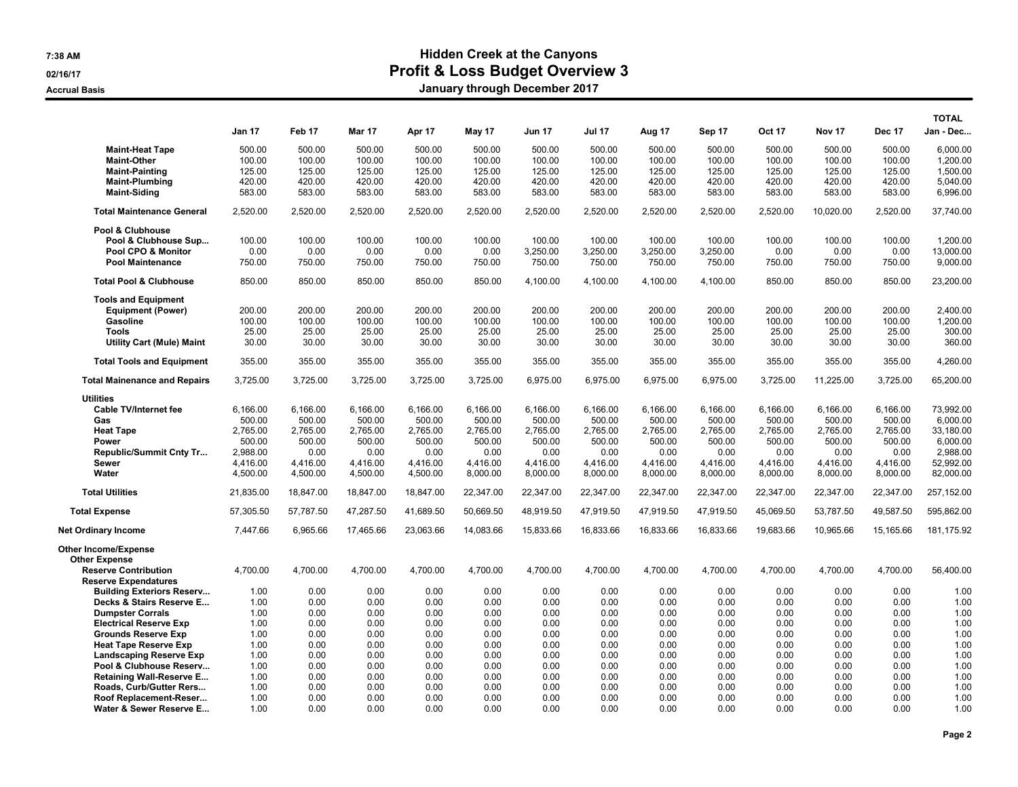## 7:38 AM Hidden Creek at the Canyons 02/16/17 **Profit & Loss Budget Overview 3**

Accrual Basis **Accrual Basis Accrual Basis January through December 2017** 

|                                                                                                                                                         | Jan 17                                                                       | Feb 17                                                                   | <b>Mar 17</b>                                                            | Apr 17                                                                   | May 17                                                                   | <b>Jun 17</b>                                                            | <b>Jul 17</b>                                                            | Aug 17                                                                   | Sep 17                                                                   | <b>Oct 17</b>                                                            | <b>Nov 17</b>                                                            | <b>Dec 17</b>                                                            | <b>TOTAL</b><br>Jan - Dec                                                            |
|---------------------------------------------------------------------------------------------------------------------------------------------------------|------------------------------------------------------------------------------|--------------------------------------------------------------------------|--------------------------------------------------------------------------|--------------------------------------------------------------------------|--------------------------------------------------------------------------|--------------------------------------------------------------------------|--------------------------------------------------------------------------|--------------------------------------------------------------------------|--------------------------------------------------------------------------|--------------------------------------------------------------------------|--------------------------------------------------------------------------|--------------------------------------------------------------------------|--------------------------------------------------------------------------------------|
| <b>Maint-Heat Tape</b><br><b>Maint-Other</b><br><b>Maint-Painting</b><br><b>Maint-Plumbing</b><br><b>Maint-Siding</b>                                   | 500.00<br>100.00<br>125.00<br>420.00<br>583.00                               | 500.00<br>100.00<br>125.00<br>420.00<br>583.00                           | 500.00<br>100.00<br>125.00<br>420.00<br>583.00                           | 500.00<br>100.00<br>125.00<br>420.00<br>583.00                           | 500.00<br>100.00<br>125.00<br>420.00<br>583.00                           | 500.00<br>100.00<br>125.00<br>420.00<br>583.00                           | 500.00<br>100.00<br>125.00<br>420.00<br>583.00                           | 500.00<br>100.00<br>125.00<br>420.00<br>583.00                           | 500.00<br>100.00<br>125.00<br>420.00<br>583.00                           | 500.00<br>100.00<br>125.00<br>420.00<br>583.00                           | 500.00<br>100.00<br>125.00<br>420.00<br>583.00                           | 500.00<br>100.00<br>125.00<br>420.00<br>583.00                           | 6.000.00<br>1,200.00<br>1,500.00<br>5,040.00<br>6,996.00                             |
| <b>Total Maintenance General</b>                                                                                                                        | 2,520.00                                                                     | 2,520.00                                                                 | 2,520.00                                                                 | 2,520.00                                                                 | 2,520.00                                                                 | 2,520.00                                                                 | 2,520.00                                                                 | 2,520.00                                                                 | 2,520.00                                                                 | 2,520.00                                                                 | 10,020.00                                                                | 2,520.00                                                                 | 37,740.00                                                                            |
| Pool & Clubhouse<br>Pool & Clubhouse Sup<br>Pool CPO & Monitor<br><b>Pool Maintenance</b>                                                               | 100.00<br>0.00<br>750.00                                                     | 100.00<br>0.00<br>750.00                                                 | 100.00<br>0.00<br>750.00                                                 | 100.00<br>0.00<br>750.00                                                 | 100.00<br>0.00<br>750.00                                                 | 100.00<br>3,250.00<br>750.00                                             | 100.00<br>3,250.00<br>750.00                                             | 100.00<br>3,250.00<br>750.00                                             | 100.00<br>3,250.00<br>750.00                                             | 100.00<br>0.00<br>750.00                                                 | 100.00<br>0.00<br>750.00                                                 | 100.00<br>0.00<br>750.00                                                 | 1,200.00<br>13,000.00<br>9,000.00                                                    |
| <b>Total Pool &amp; Clubhouse</b>                                                                                                                       | 850.00                                                                       | 850.00                                                                   | 850.00                                                                   | 850.00                                                                   | 850.00                                                                   | 4,100.00                                                                 | 4,100.00                                                                 | 4,100.00                                                                 | 4,100.00                                                                 | 850.00                                                                   | 850.00                                                                   | 850.00                                                                   | 23,200.00                                                                            |
| <b>Tools and Equipment</b><br><b>Equipment (Power)</b><br>Gasoline<br><b>Tools</b><br><b>Utility Cart (Mule) Maint</b>                                  | 200.00<br>100.00<br>25.00<br>30.00                                           | 200.00<br>100.00<br>25.00<br>30.00                                       | 200.00<br>100.00<br>25.00<br>30.00                                       | 200.00<br>100.00<br>25.00<br>30.00                                       | 200.00<br>100.00<br>25.00<br>30.00                                       | 200.00<br>100.00<br>25.00<br>30.00                                       | 200.00<br>100.00<br>25.00<br>30.00                                       | 200.00<br>100.00<br>25.00<br>30.00                                       | 200.00<br>100.00<br>25.00<br>30.00                                       | 200.00<br>100.00<br>25.00<br>30.00                                       | 200.00<br>100.00<br>25.00<br>30.00                                       | 200.00<br>100.00<br>25.00<br>30.00                                       | 2.400.00<br>1,200.00<br>300.00<br>360.00                                             |
| <b>Total Tools and Equipment</b>                                                                                                                        | 355.00                                                                       | 355.00                                                                   | 355.00                                                                   | 355.00                                                                   | 355.00                                                                   | 355.00                                                                   | 355.00                                                                   | 355.00                                                                   | 355.00                                                                   | 355.00                                                                   | 355.00                                                                   | 355.00                                                                   | 4,260.00                                                                             |
| <b>Total Mainenance and Repairs</b>                                                                                                                     | 3,725.00                                                                     | 3,725.00                                                                 | 3,725.00                                                                 | 3,725.00                                                                 | 3,725.00                                                                 | 6,975.00                                                                 | 6,975.00                                                                 | 6,975.00                                                                 | 6,975.00                                                                 | 3,725.00                                                                 | 11,225.00                                                                | 3,725.00                                                                 | 65,200.00                                                                            |
| <b>Utilities</b><br><b>Cable TV/Internet fee</b><br>Gas<br><b>Heat Tape</b><br>Power<br><b>Republic/Summit Cnty Tr</b><br><b>Sewer</b><br>Water         | 6,166.00<br>500.00<br>2,765.00<br>500.00<br>2,988.00<br>4,416.00<br>4,500.00 | 6,166.00<br>500.00<br>2,765.00<br>500.00<br>0.00<br>4,416.00<br>4,500.00 | 6,166.00<br>500.00<br>2,765.00<br>500.00<br>0.00<br>4,416.00<br>4,500.00 | 6,166.00<br>500.00<br>2,765.00<br>500.00<br>0.00<br>4,416.00<br>4,500.00 | 6,166.00<br>500.00<br>2,765.00<br>500.00<br>0.00<br>4,416.00<br>8,000.00 | 6,166.00<br>500.00<br>2,765.00<br>500.00<br>0.00<br>4,416.00<br>8,000.00 | 6,166.00<br>500.00<br>2,765.00<br>500.00<br>0.00<br>4.416.00<br>8,000.00 | 6,166.00<br>500.00<br>2,765.00<br>500.00<br>0.00<br>4,416.00<br>8,000.00 | 6,166.00<br>500.00<br>2,765.00<br>500.00<br>0.00<br>4,416.00<br>8,000.00 | 6,166.00<br>500.00<br>2,765.00<br>500.00<br>0.00<br>4,416.00<br>8,000.00 | 6,166.00<br>500.00<br>2,765.00<br>500.00<br>0.00<br>4,416.00<br>8,000.00 | 6,166.00<br>500.00<br>2,765.00<br>500.00<br>0.00<br>4,416.00<br>8,000.00 | 73,992.00<br>6,000.00<br>33,180.00<br>6,000.00<br>2,988.00<br>52,992.00<br>82,000.00 |
| <b>Total Utilities</b>                                                                                                                                  | 21,835.00                                                                    | 18,847.00                                                                | 18,847.00                                                                | 18,847.00                                                                | 22,347.00                                                                | 22,347.00                                                                | 22,347.00                                                                | 22,347.00                                                                | 22,347.00                                                                | 22,347.00                                                                | 22,347.00                                                                | 22,347.00                                                                | 257,152.00                                                                           |
| <b>Total Expense</b>                                                                                                                                    | 57,305.50                                                                    | 57,787.50                                                                | 47,287.50                                                                | 41.689.50                                                                | 50,669.50                                                                | 48,919.50                                                                | 47,919.50                                                                | 47,919.50                                                                | 47.919.50                                                                | 45,069.50                                                                | 53,787.50                                                                | 49,587.50                                                                | 595.862.00                                                                           |
| <b>Net Ordinary Income</b>                                                                                                                              | 7.447.66                                                                     | 6,965.66                                                                 | 17,465.66                                                                | 23,063.66                                                                | 14,083.66                                                                | 15,833.66                                                                | 16,833.66                                                                | 16,833.66                                                                | 16,833.66                                                                | 19,683.66                                                                | 10,965.66                                                                | 15,165.66                                                                | 181,175.92                                                                           |
| <b>Other Income/Expense</b><br><b>Other Expense</b><br><b>Reserve Contribution</b><br><b>Reserve Expendatures</b>                                       | 4.700.00                                                                     | 4,700.00                                                                 | 4,700.00                                                                 | 4,700.00                                                                 | 4,700.00                                                                 | 4,700.00                                                                 | 4,700.00                                                                 | 4,700.00                                                                 | 4,700.00                                                                 | 4,700.00                                                                 | 4,700.00                                                                 | 4,700.00                                                                 | 56,400.00                                                                            |
| <b>Building Exteriors Reserv</b><br>Decks & Stairs Reserve E<br><b>Dumpster Corrals</b><br><b>Electrical Reserve Exp</b><br><b>Grounds Reserve Exp</b>  | 1.00<br>1.00<br>1.00<br>1.00<br>1.00                                         | 0.00<br>0.00<br>0.00<br>0.00<br>0.00                                     | 0.00<br>0.00<br>0.00<br>0.00<br>0.00                                     | 0.00<br>0.00<br>0.00<br>0.00<br>0.00                                     | 0.00<br>0.00<br>0.00<br>0.00<br>0.00                                     | 0.00<br>0.00<br>0.00<br>0.00<br>0.00                                     | 0.00<br>0.00<br>0.00<br>0.00<br>0.00                                     | 0.00<br>0.00<br>0.00<br>0.00<br>0.00                                     | 0.00<br>0.00<br>0.00<br>0.00<br>0.00                                     | 0.00<br>0.00<br>0.00<br>0.00<br>0.00                                     | 0.00<br>0.00<br>0.00<br>0.00<br>0.00                                     | 0.00<br>0.00<br>0.00<br>0.00<br>0.00                                     | 1.00<br>1.00<br>1.00<br>1.00<br>1.00                                                 |
| <b>Heat Tape Reserve Exp</b><br><b>Landscaping Reserve Exp</b><br>Pool & Clubhouse Reserv<br><b>Retaining Wall-Reserve E</b><br>Roads, Curb/Gutter Rers | 1.00<br>1.00<br>1.00<br>1.00<br>1.00                                         | 0.00<br>0.00<br>0.00<br>0.00<br>0.00                                     | 0.00<br>0.00<br>0.00<br>0.00<br>0.00                                     | 0.00<br>0.00<br>0.00<br>0.00<br>0.00                                     | 0.00<br>0.00<br>0.00<br>0.00<br>0.00                                     | 0.00<br>0.00<br>0.00<br>0.00<br>0.00                                     | 0.00<br>0.00<br>0.00<br>0.00<br>0.00                                     | 0.00<br>0.00<br>0.00<br>0.00<br>0.00                                     | 0.00<br>0.00<br>0.00<br>0.00<br>0.00                                     | 0.00<br>0.00<br>0.00<br>0.00<br>0.00                                     | 0.00<br>0.00<br>0.00<br>0.00<br>0.00                                     | 0.00<br>0.00<br>0.00<br>0.00<br>0.00                                     | 1.00<br>1.00<br>1.00<br>1.00<br>1.00                                                 |
| Roof Replacement-Reser<br>Water & Sewer Reserve E                                                                                                       | 1.00<br>1.00                                                                 | 0.00<br>0.00                                                             | 0.00<br>0.00                                                             | 0.00<br>0.00                                                             | 0.00<br>0.00                                                             | 0.00<br>0.00                                                             | 0.00<br>0.00                                                             | 0.00<br>0.00                                                             | 0.00<br>0.00                                                             | 0.00<br>0.00                                                             | 0.00<br>0.00                                                             | 0.00<br>0.00                                                             | 1.00<br>1.00                                                                         |